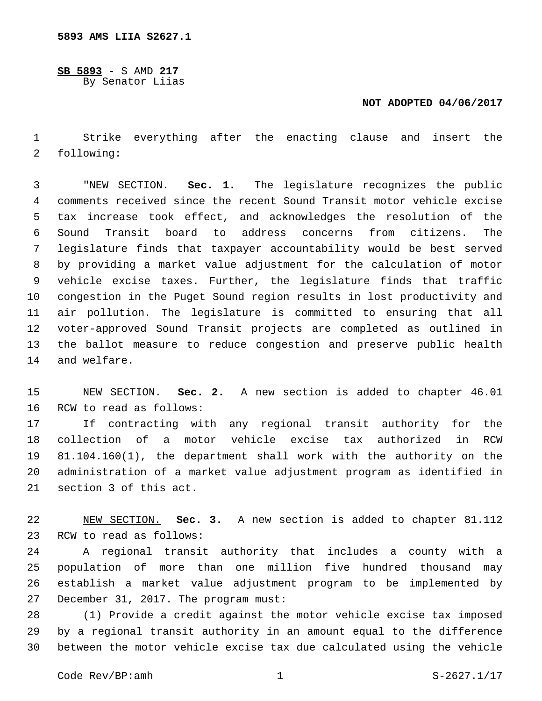**SB 5893** - S AMD **217** By Senator Liias

## **NOT ADOPTED 04/06/2017**

 Strike everything after the enacting clause and insert the 2 following:

 "NEW SECTION. **Sec. 1.** The legislature recognizes the public comments received since the recent Sound Transit motor vehicle excise tax increase took effect, and acknowledges the resolution of the Sound Transit board to address concerns from citizens. The legislature finds that taxpayer accountability would be best served by providing a market value adjustment for the calculation of motor vehicle excise taxes. Further, the legislature finds that traffic congestion in the Puget Sound region results in lost productivity and air pollution. The legislature is committed to ensuring that all voter-approved Sound Transit projects are completed as outlined in the ballot measure to reduce congestion and preserve public health and welfare.

 NEW SECTION. **Sec. 2.** A new section is added to chapter 46.01 16 RCW to read as follows:

 If contracting with any regional transit authority for the collection of a motor vehicle excise tax authorized in RCW 81.104.160(1), the department shall work with the authority on the administration of a market value adjustment program as identified in 21 section 3 of this act.

 NEW SECTION. **Sec. 3.** A new section is added to chapter 81.112 23 RCW to read as follows:

 A regional transit authority that includes a county with a population of more than one million five hundred thousand may establish a market value adjustment program to be implemented by 27 December 31, 2017. The program must:

 (1) Provide a credit against the motor vehicle excise tax imposed by a regional transit authority in an amount equal to the difference between the motor vehicle excise tax due calculated using the vehicle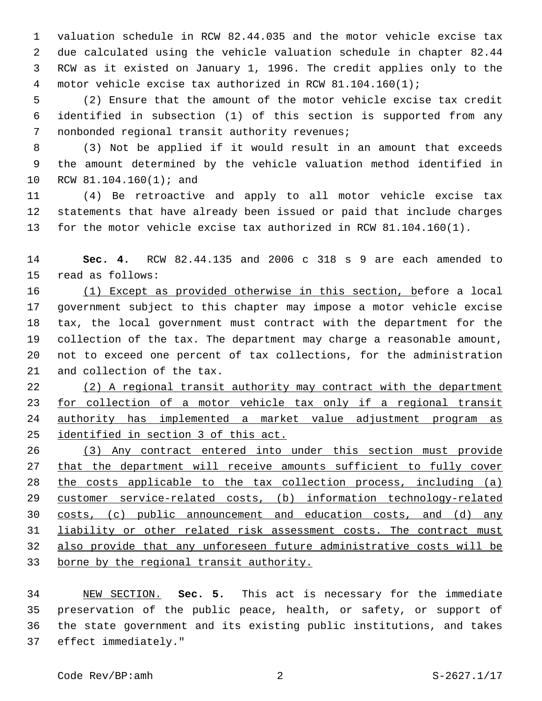valuation schedule in RCW 82.44.035 and the motor vehicle excise tax due calculated using the vehicle valuation schedule in chapter 82.44 RCW as it existed on January 1, 1996. The credit applies only to the motor vehicle excise tax authorized in RCW 81.104.160(1);

 (2) Ensure that the amount of the motor vehicle excise tax credit identified in subsection (1) of this section is supported from any 7 nonbonded regional transit authority revenues;

 (3) Not be applied if it would result in an amount that exceeds the amount determined by the vehicle valuation method identified in 10 RCW 81.104.160(1); and

 (4) Be retroactive and apply to all motor vehicle excise tax statements that have already been issued or paid that include charges for the motor vehicle excise tax authorized in RCW 81.104.160(1).

 **Sec. 4.** RCW 82.44.135 and 2006 c 318 s 9 are each amended to 15 read as follows:

 (1) Except as provided otherwise in this section, before a local government subject to this chapter may impose a motor vehicle excise tax, the local government must contract with the department for the collection of the tax. The department may charge a reasonable amount, not to exceed one percent of tax collections, for the administration 21 and collection of the tax.

 (2) A regional transit authority may contract with the department for collection of a motor vehicle tax only if a regional transit authority has implemented a market value adjustment program as identified in section 3 of this act.

 (3) Any contract entered into under this section must provide that the department will receive amounts sufficient to fully cover the costs applicable to the tax collection process, including (a) customer service-related costs, (b) information technology-related costs, (c) public announcement and education costs, and (d) any 31 liability or other related risk assessment costs. The contract must also provide that any unforeseen future administrative costs will be borne by the regional transit authority.

 NEW SECTION. **Sec. 5.** This act is necessary for the immediate preservation of the public peace, health, or safety, or support of the state government and its existing public institutions, and takes 37 effect immediately."